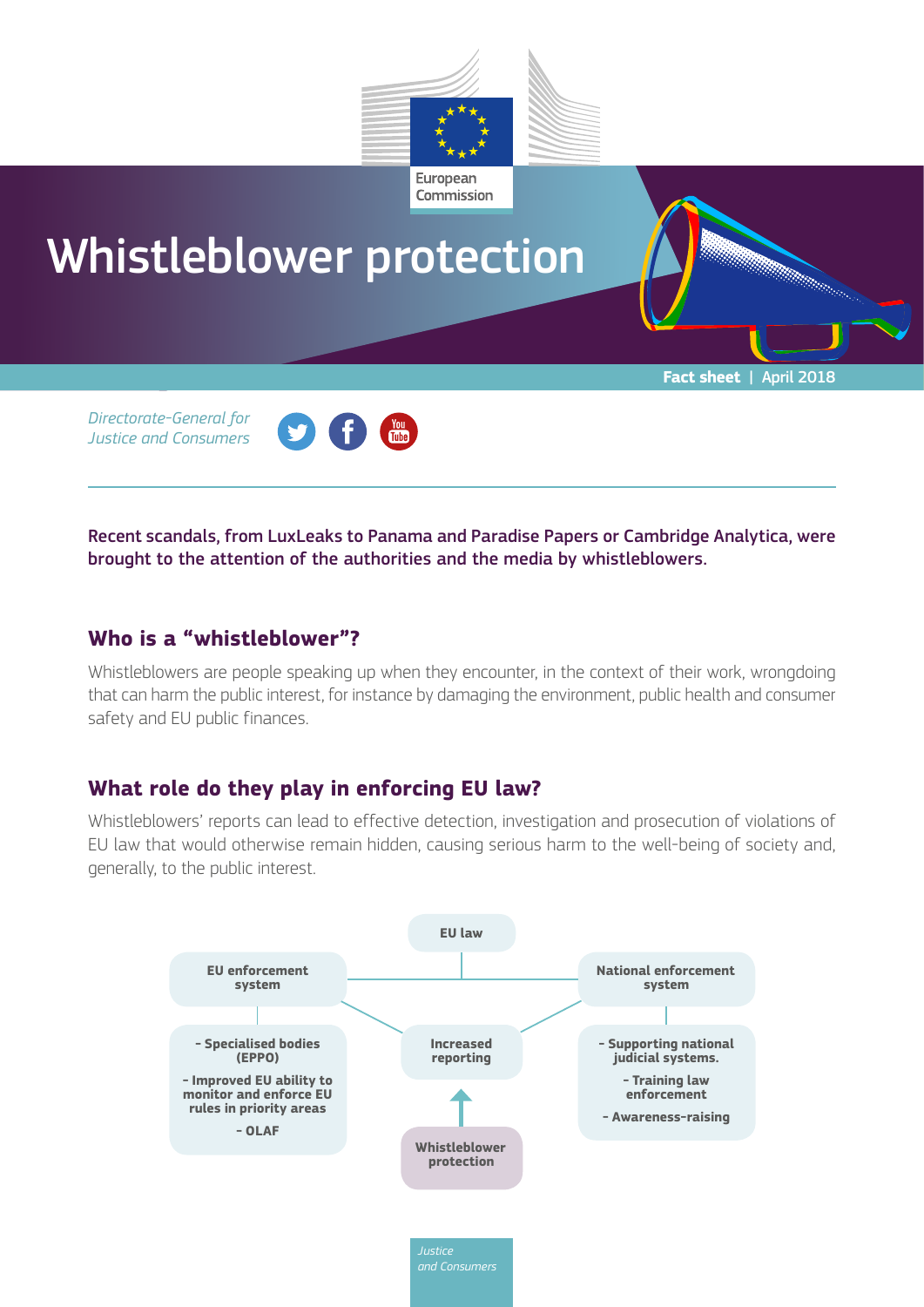

**Fact sheet** | April 2018

a a company and a company of the company of the company of the company of the company of the company of the company of the company of the company of the company of the company of the company of the company of the company o

# Whistleblower protection

*Directorate-General for Justice and Consumers*



Recent scandals, from LuxLeaks to Panama and Paradise Papers or Cambridge Analytica, were brought to the attention of the authorities and the media by whistleblowers.

## **Who is a "whistleblower"?**

Whistleblowers are people speaking up when they encounter, in the context of their work, wrongdoing that can harm the public interest, for instance by damaging the environment, public health and consumer safety and EU public finances.

# **What role do they play in enforcing EU law?**

Whistleblowers' reports can lead to effective detection, investigation and prosecution of violations of EU law that would otherwise remain hidden, causing serious harm to the well-being of society and, generally, to the public interest.